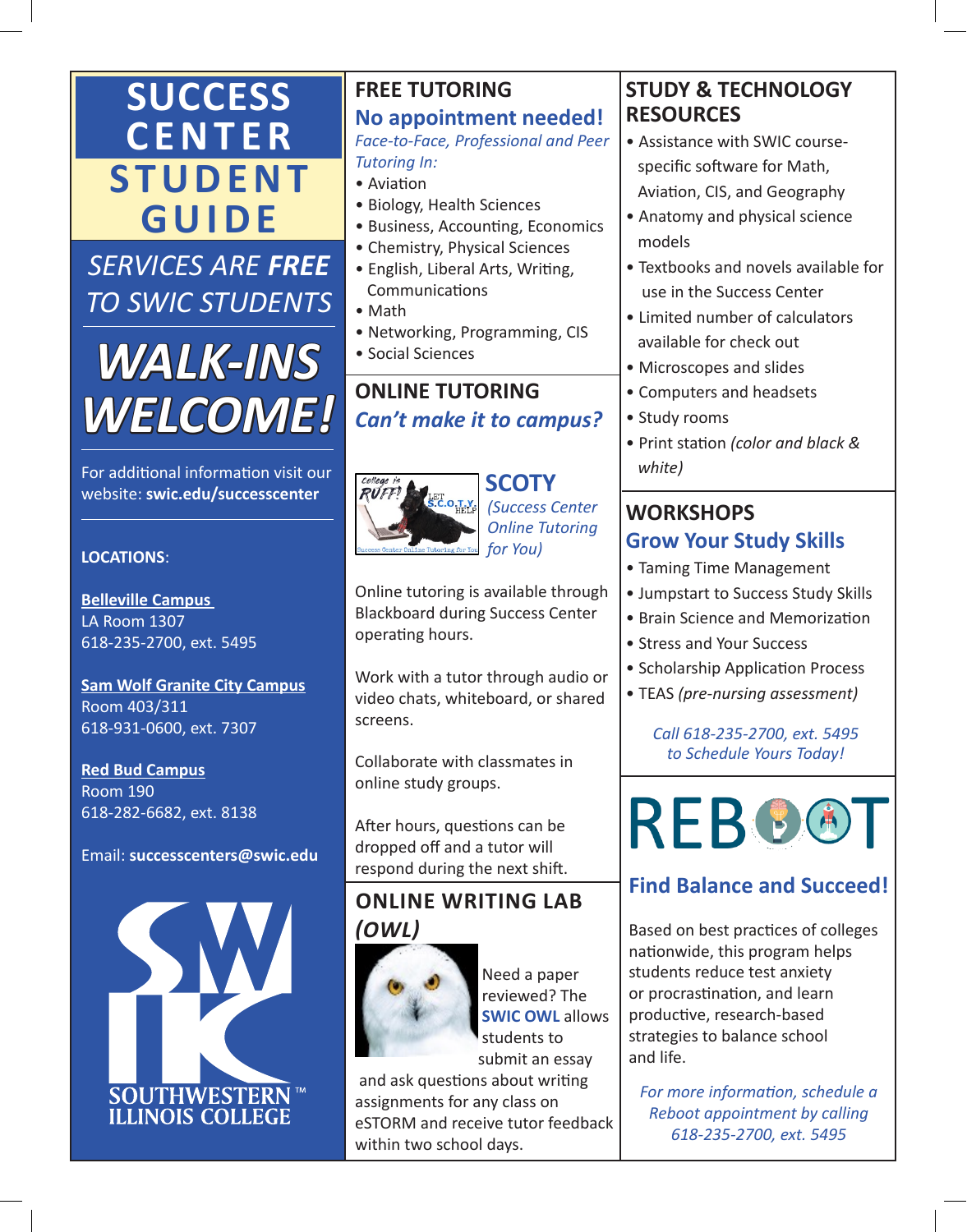## **SUCCESS CENTER STUDENT GUIDE**

*SERVICES ARE FREE TO SWIC STUDENTS*

# *WALK-INS WELCOME!*

For additional information visit our website: **swic.edu/successcenter** 

#### **LOCATIONS**:

**Belleville Campus**  LA Room 1307 618-235-2700, ext. 5495

**Sam Wolf Granite City Campus** Room 403/311 618-931-0600, ext. 7307

**Red Bud Campus** Room 190 618-282-6682, ext. 8138

Email: **successcenters@swic.edu**



#### **FREE TUTORING No appointment needed!** *Face-to-Face, Professional and Peer Tutoring In:*

- Aviation
- Biology, Health Sciences
- Business, Accounting, Economics
- Chemistry, Physical Sciences
- English, Liberal Arts, Writing, **Communications**
- Math
- Networking, Programming, CIS
- Social Sciences

#### **ONLINE TUTORING**  *Can't make it to campus?*



 *(Success Center Online Tutoring for You)*

Online tutoring is available through Blackboard during Success Center operating hours.

Work with a tutor through audio or video chats, whiteboard, or shared screens.

Collaborate with classmates in online study groups.

After hours, questions can be dropped off and a tutor will respond during the next shift.

#### **ONLINE WRITING LAB**  *(OWL)*



 Need a paper reviewed? The **SWIC OWL** allows students to submit an essay

 and ask questions about writing assignments for any class on eSTORM and receive tutor feedback within two school days.

#### **STUDY & TECHNOLOGY RESOURCES**

- Assistance with SWIC course specific software for Math, Aviation, CIS, and Geography
- Anatomy and physical science models
- Textbooks and novels available for use in the Success Center
- Limited number of calculators available for check out
- Microscopes and slides
- Computers and headsets
- Study rooms
- Print station *(color and black & white)*

#### **WORKSHOPS Grow Your Study Skills**

- Taming Time Management
- Jumpstart to Success Study Skills
- Brain Science and Memorization
- Stress and Your Success
- Scholarship Application Process
- TEAS *(pre-nursing assessment)*

*Call 618-235-2700, ext. 5495 to Schedule Yours Today!*



### **Find Balance and Succeed!**

Based on best practices of colleges nationwide, this program helps students reduce test anxiety or procrastination, and learn productive, research-based strategies to balance school and life.

*For more information, schedule a Reboot appointment by calling 618-235-2700, ext. 5495*